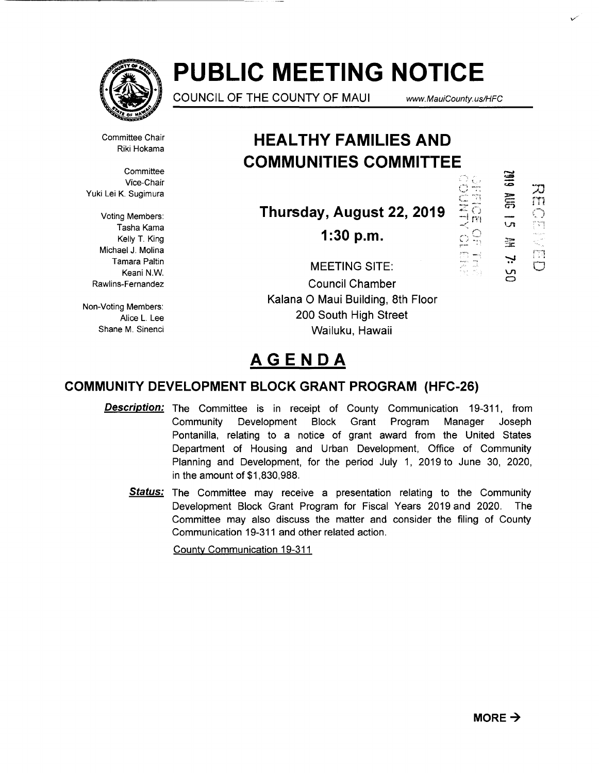

# **PUBLIC MEETING NOTICE**

COUNCIL OF THE COUNTY OF MAUl www. MauiCounty. us/HFC

"''-",

 $\sim$ 

t •

 $\mathcal{L}$ 

靈

**SIEZ** 

::u m<br>O

r vij .<br>Kabupatèn

 $\overline{\bigcup}$ 

m

 $\overline{\mathbf{v}}$  $\mathsf{C}$ 

 $\mathbf{r}$ 

Committee Chair Riki Hokama

**Committee** Vice-Chair Yuki Lei K. Sugimura

Voting Members: Tasha Kama Kelly T. King Michael J. Molina Tamara Paltin Keani N.W. Rawlins-Fernandez

Non-Voting Members: Alice L. Lee Shane M. Sinenci

# **HEAL THY FAMILIES AND COMMUNITIES COMMITTEE**

Thursday, August 22, 2019

**1:30 p.m.** 

MEETING SITE: Council Chamber Kalana 0 Maui Building, 8th Floor 200 South High Street Wailuku, Hawaii

# **AGENDA**

# **COMMUNITY DEVELOPMENT BLOCK GRANT PROGRAM (HFC-26)**

- **Description:** The Committee is in receipt of County Communication 19-311, from Community Development Block Grant Program Manager Joseph Pontanilla, relating to a notice of grant award from the United States Department of Housing and Urban Development, Office of Community Planning and Development, for the period July 1, 2019 to June 30, 2020, in the amount of \$1,830,988.
	- **Status:** The Committee may receive a presentation relating to the Community Development Block Grant Program for Fiscal Years 2019 and 2020. The Committee may also discuss the matter and consider the filing of County Communication 19-311 and other related action.

Countv Communication 19-311